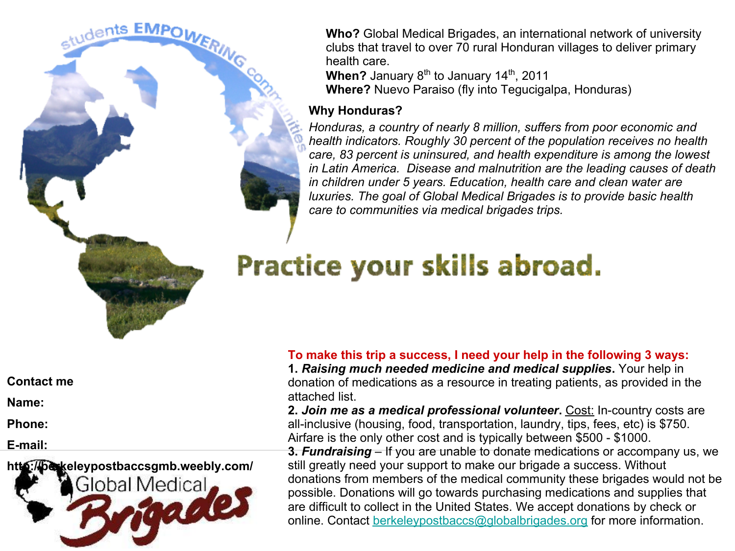

**Who?** Global Medical Brigades, an international network of university clubs that travel to over 70 rural Honduran villages to deliver primary health care.

**When?** January 8<sup>th</sup> to January 14<sup>th</sup>, 2011 **Where?** Nuevo Paraiso (fly into Tegucigalpa, Honduras)

# **Why Honduras?**

*Honduras, a country of nearly 8 million, suffers from poor economic and health indicators. Roughly 30 percent of the population receives no health care, 83 percent is uninsured, and health expenditure is among the lowest in Latin America. Disease and malnutrition are the leading causes of death in children under 5 years. Education, health care and clean water are luxuries. The goal of Global Medical Brigades is to provide basic health care to communities via medical brigades trips.*

# Practice your skills abroad.

**Contact me**

**Name:**

**Phone:**

**E-mail:**



**To make this trip a success, I need your help in the following 3 ways:**

**1.** *Raising much needed medicine and medical supplies***.** Your help in donation of medications as a resource in treating patients, as provided in the attached list.

**2.** *Join me as a medical professional volunteer***.** Cost: In-country costs are all-inclusive (housing, food, transportation, laundry, tips, fees, etc) is \$750. Airfare is the only other cost and is typically between \$500 - \$1000.

**3.** *Fundraising* – If you are unable to donate medications or accompany us, we still greatly need your support to make our brigade a success. Without donations from members of the medical community these brigades would not be possible. Donations will go towards purchasing medications and supplies that are difficult to collect in the United States. We accept donations by check or online. Contact [berkeleypostbaccs@globalbrigades.org](mailto:berkeleypostbaccs@globalbrigades.org) for more information.